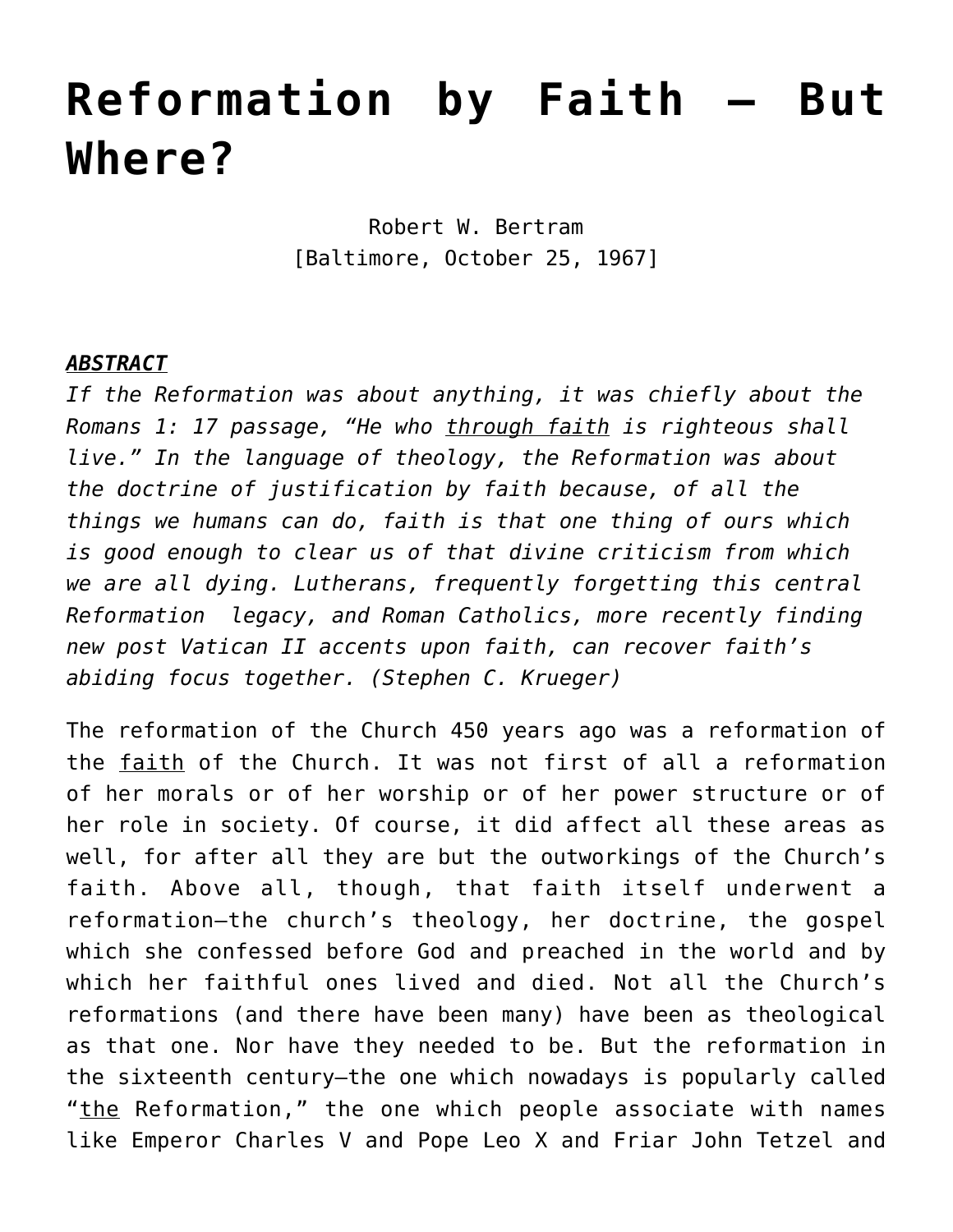## **[Reformation by Faith – But](https://crossings.org/reformation-by-faith-but-where/) [Where?](https://crossings.org/reformation-by-faith-but-where/)**

Robert W. Bertram [Baltimore, October 25, 1967]

## *ABSTRACT*

*If the Reformation was about anything, it was chiefly about the Romans 1: 17 passage, "He who through faith is righteous shall live." In the language of theology, the Reformation was about the doctrine of justification by faith because, of all the things we humans can do, faith is that one thing of ours which is good enough to clear us of that divine criticism from which we are all dying. Lutherans, frequently forgetting this central Reformation legacy, and Roman Catholics, more recently finding new post Vatican II accents upon faith, can recover faith's abiding focus together. (Stephen C. Krueger)*

The reformation of the Church 450 years ago was a reformation of the faith of the Church. It was not first of all a reformation of her morals or of her worship or of her power structure or of her role in society. Of course, it did affect all these areas as well, for after all they are but the outworkings of the Church's faith. Above all, though, that faith itself underwent a reformation—the church's theology, her doctrine, the gospel which she confessed before God and preached in the world and by which her faithful ones lived and died. Not all the Church's reformations (and there have been many) have been as theological as that one. Nor have they needed to be. But the reformation in the sixteenth century—the one which nowadays is popularly called "the Reformation," the one which people associate with names like Emperor Charles V and Pope Leo X and Friar John Tetzel and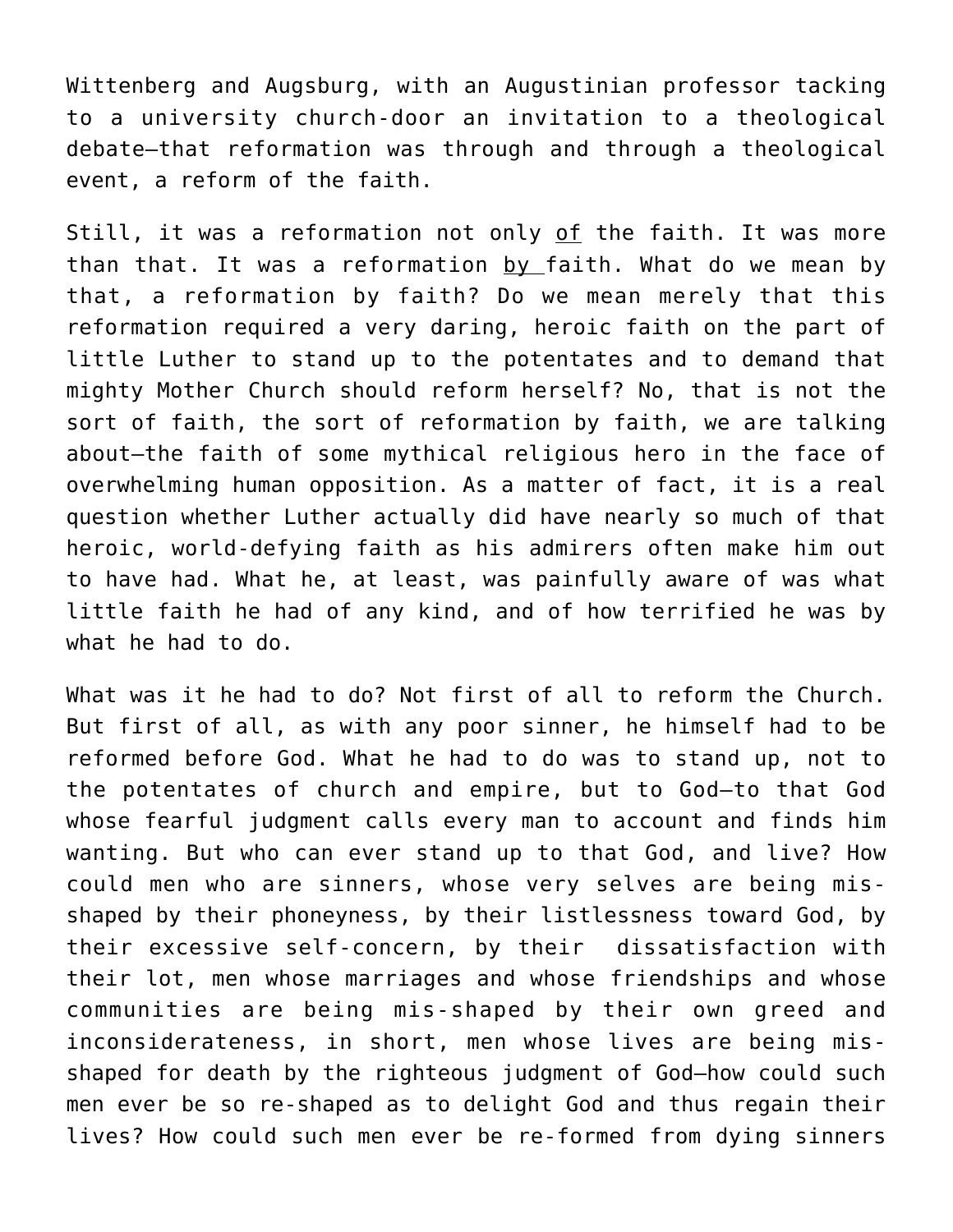Wittenberg and Augsburg, with an Augustinian professor tacking to a university church-door an invitation to a theological debate—that reformation was through and through a theological event, a reform of the faith.

Still, it was a reformation not only of the faith. It was more than that. It was a reformation by faith. What do we mean by that, a reformation by faith? Do we mean merely that this reformation required a very daring, heroic faith on the part of little Luther to stand up to the potentates and to demand that mighty Mother Church should reform herself? No, that is not the sort of faith, the sort of reformation by faith, we are talking about—the faith of some mythical religious hero in the face of overwhelming human opposition. As a matter of fact, it is a real question whether Luther actually did have nearly so much of that heroic, world-defying faith as his admirers often make him out to have had. What he, at least, was painfully aware of was what little faith he had of any kind, and of how terrified he was by what he had to do.

What was it he had to do? Not first of all to reform the Church. But first of all, as with any poor sinner, he himself had to be reformed before God. What he had to do was to stand up, not to the potentates of church and empire, but to God—to that God whose fearful judgment calls every man to account and finds him wanting. But who can ever stand up to that God, and live? How could men who are sinners, whose very selves are being misshaped by their phoneyness, by their listlessness toward God, by their excessive self-concern, by their dissatisfaction with their lot, men whose marriages and whose friendships and whose communities are being mis-shaped by their own greed and inconsiderateness, in short, men whose lives are being misshaped for death by the righteous judgment of God—how could such men ever be so re-shaped as to delight God and thus regain their lives? How could such men ever be re-formed from dying sinners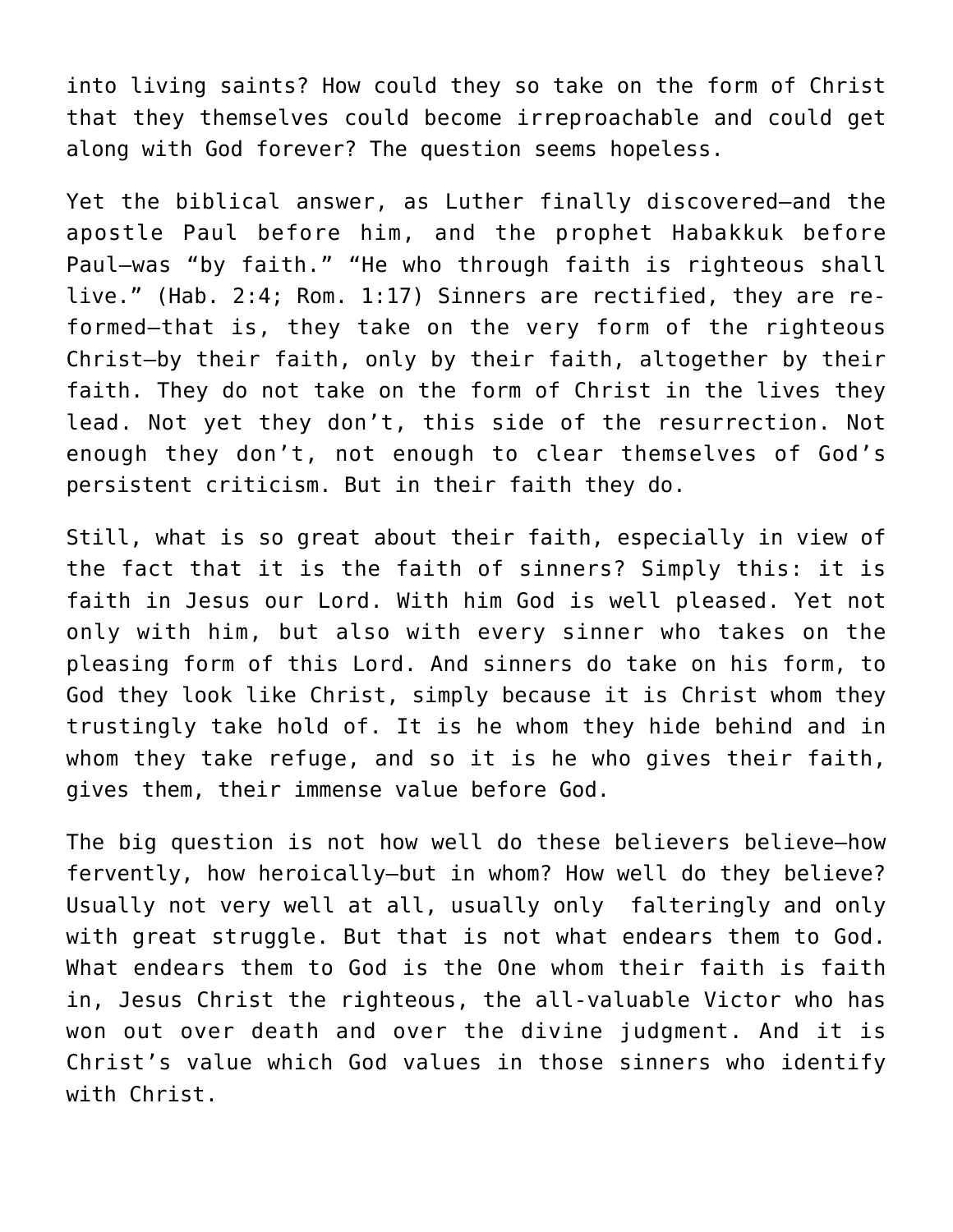into living saints? How could they so take on the form of Christ that they themselves could become irreproachable and could get along with God forever? The question seems hopeless.

Yet the biblical answer, as Luther finally discovered—and the apostle Paul before him, and the prophet Habakkuk before Paul—was "by faith." "He who through faith is righteous shall live." (Hab. 2:4; Rom. 1:17) Sinners are rectified, they are reformed—that is, they take on the very form of the righteous Christ—by their faith, only by their faith, altogether by their faith. They do not take on the form of Christ in the lives they lead. Not yet they don't, this side of the resurrection. Not enough they don't, not enough to clear themselves of God's persistent criticism. But in their faith they do.

Still, what is so great about their faith, especially in view of the fact that it is the faith of sinners? Simply this: it is faith in Jesus our Lord. With him God is well pleased. Yet not only with him, but also with every sinner who takes on the pleasing form of this Lord. And sinners do take on his form, to God they look like Christ, simply because it is Christ whom they trustingly take hold of. It is he whom they hide behind and in whom they take refuge, and so it is he who gives their faith, gives them, their immense value before God.

The big question is not how well do these believers believe-how fervently, how heroically—but in whom? How well do they believe? Usually not very well at all, usually only falteringly and only with great struggle. But that is not what endears them to God. What endears them to God is the One whom their faith is faith in, Jesus Christ the righteous, the all-valuable Victor who has won out over death and over the divine judgment. And it is Christ's value which God values in those sinners who identify with Christ.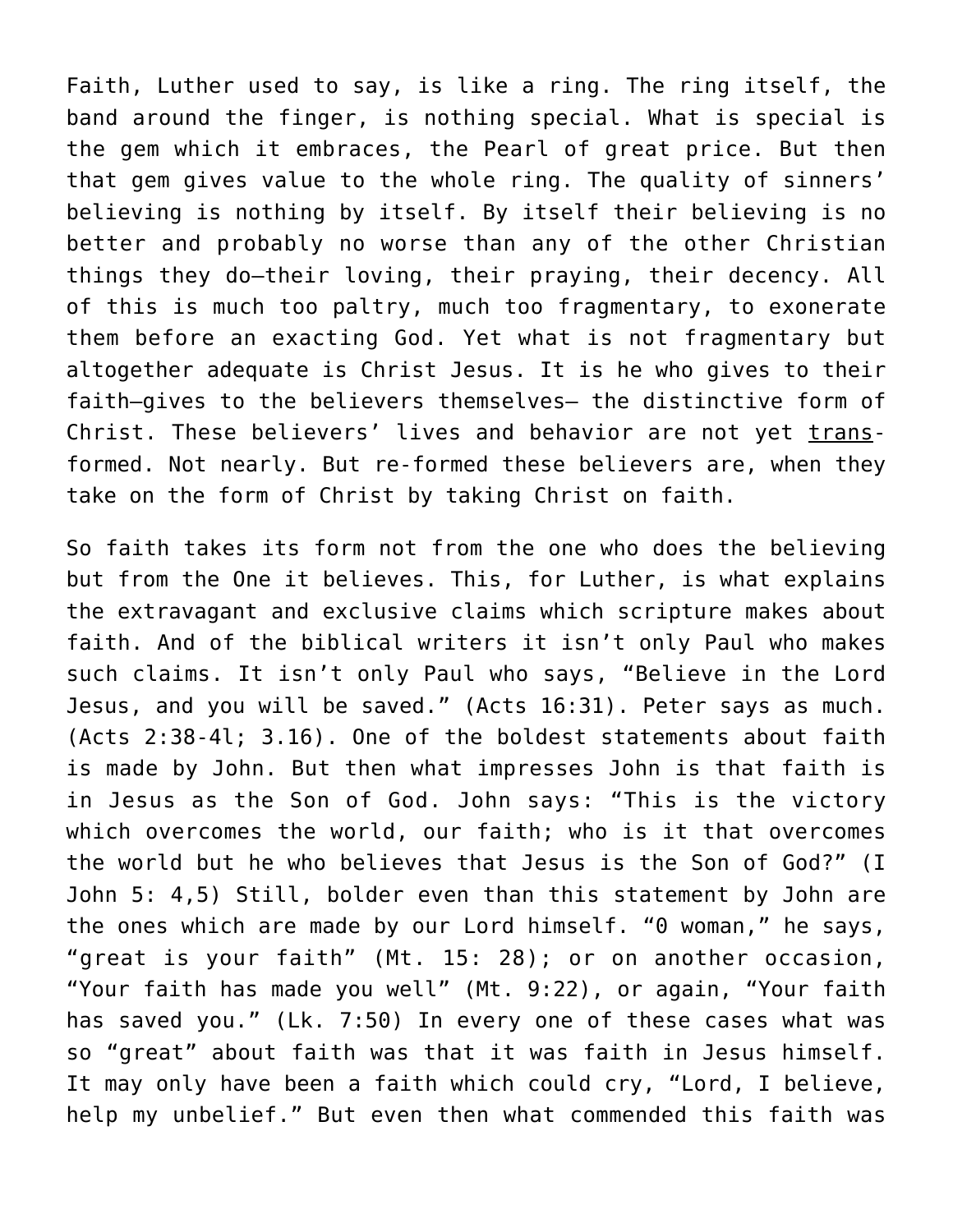Faith, Luther used to say, is like a ring. The ring itself, the band around the finger, is nothing special. What is special is the gem which it embraces, the Pearl of great price. But then that gem gives value to the whole ring. The quality of sinners' believing is nothing by itself. By itself their believing is no better and probably no worse than any of the other Christian things they do—their loving, their praying, their decency. All of this is much too paltry, much too fragmentary, to exonerate them before an exacting God. Yet what is not fragmentary but altogether adequate is Christ Jesus. It is he who gives to their faith—gives to the believers themselves— the distinctive form of Christ. These believers' lives and behavior are not yet transformed. Not nearly. But re-formed these believers are, when they take on the form of Christ by taking Christ on faith.

So faith takes its form not from the one who does the believing but from the One it believes. This, for Luther, is what explains the extravagant and exclusive claims which scripture makes about faith. And of the biblical writers it isn't only Paul who makes such claims. It isn't only Paul who says, "Believe in the Lord Jesus, and you will be saved." (Acts 16:31). Peter says as much. (Acts 2:38-4l; 3.16). One of the boldest statements about faith is made by John. But then what impresses John is that faith is in Jesus as the Son of God. John says: "This is the victory which overcomes the world, our faith; who is it that overcomes the world but he who believes that Jesus is the Son of God?" (I John 5: 4,5) Still, bolder even than this statement by John are the ones which are made by our Lord himself. "0 woman," he says, "great is your faith" (Mt. 15: 28); or on another occasion, "Your faith has made you well" (Mt. 9:22), or again, "Your faith has saved you." (Lk. 7:50) In every one of these cases what was so "great" about faith was that it was faith in Jesus himself. It may only have been a faith which could cry, "Lord, I believe, help my unbelief." But even then what commended this faith was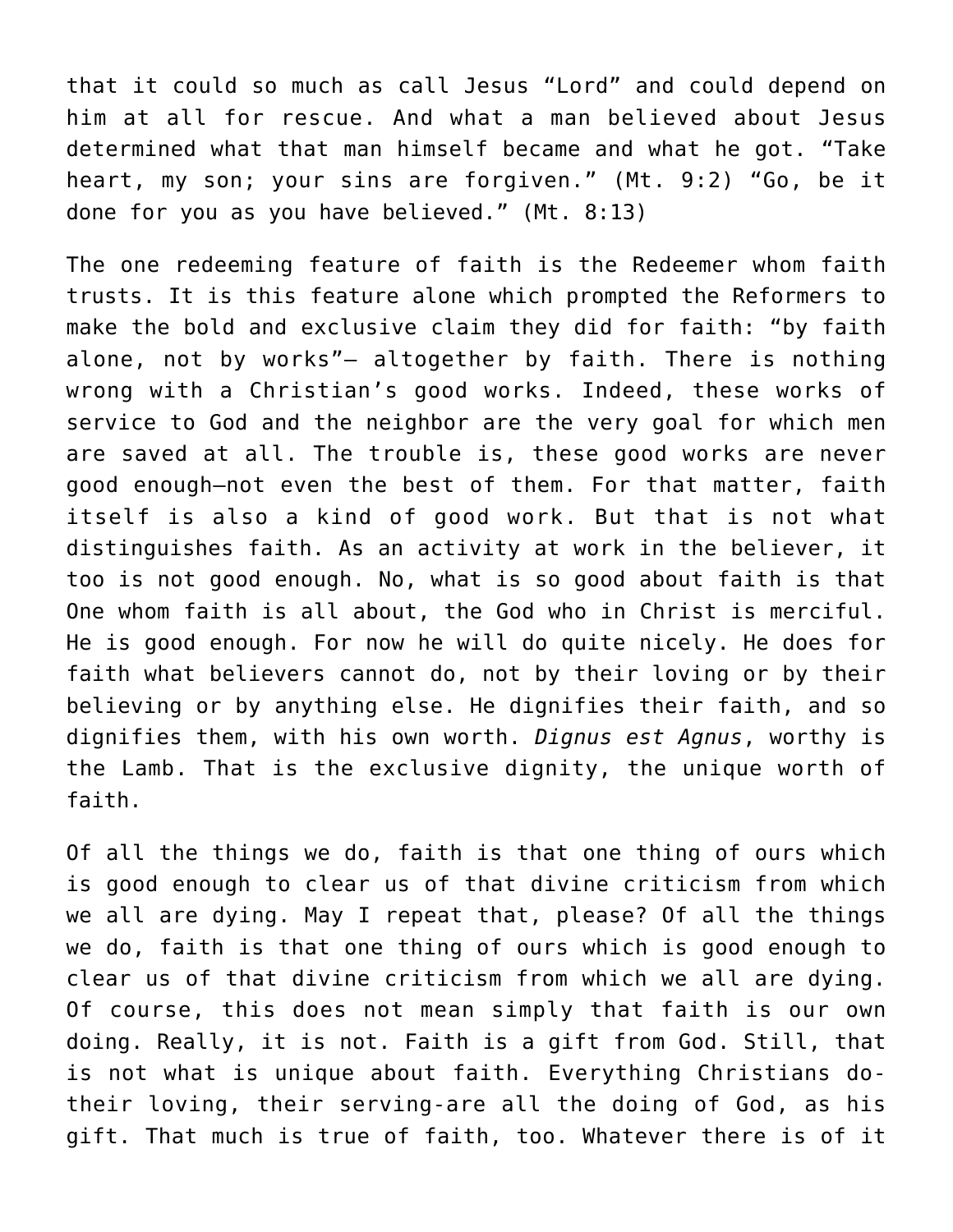that it could so much as call Jesus "Lord" and could depend on him at all for rescue. And what a man believed about Jesus determined what that man himself became and what he got. "Take heart, my son; your sins are forgiven." (Mt. 9:2) "Go, be it done for you as you have believed." (Mt. 8:13)

The one redeeming feature of faith is the Redeemer whom faith trusts. It is this feature alone which prompted the Reformers to make the bold and exclusive claim they did for faith: "by faith alone, not by works"— altogether by faith. There is nothing wrong with a Christian's good works. Indeed, these works of service to God and the neighbor are the very goal for which men are saved at all. The trouble is, these good works are never good enough—not even the best of them. For that matter, faith itself is also a kind of good work. But that is not what distinguishes faith. As an activity at work in the believer, it too is not good enough. No, what is so good about faith is that One whom faith is all about, the God who in Christ is merciful. He is good enough. For now he will do quite nicely. He does for faith what believers cannot do, not by their loving or by their believing or by anything else. He dignifies their faith, and so dignifies them, with his own worth. *Dignus est Agnus*, worthy is the Lamb. That is the exclusive dignity, the unique worth of faith.

Of all the things we do, faith is that one thing of ours which is good enough to clear us of that divine criticism from which we all are dying. May I repeat that, please? Of all the things we do, faith is that one thing of ours which is good enough to clear us of that divine criticism from which we all are dying. Of course, this does not mean simply that faith is our own doing. Really, it is not. Faith is a gift from God. Still, that is not what is unique about faith. Everything Christians dotheir loving, their serving-are all the doing of God, as his gift. That much is true of faith, too. Whatever there is of it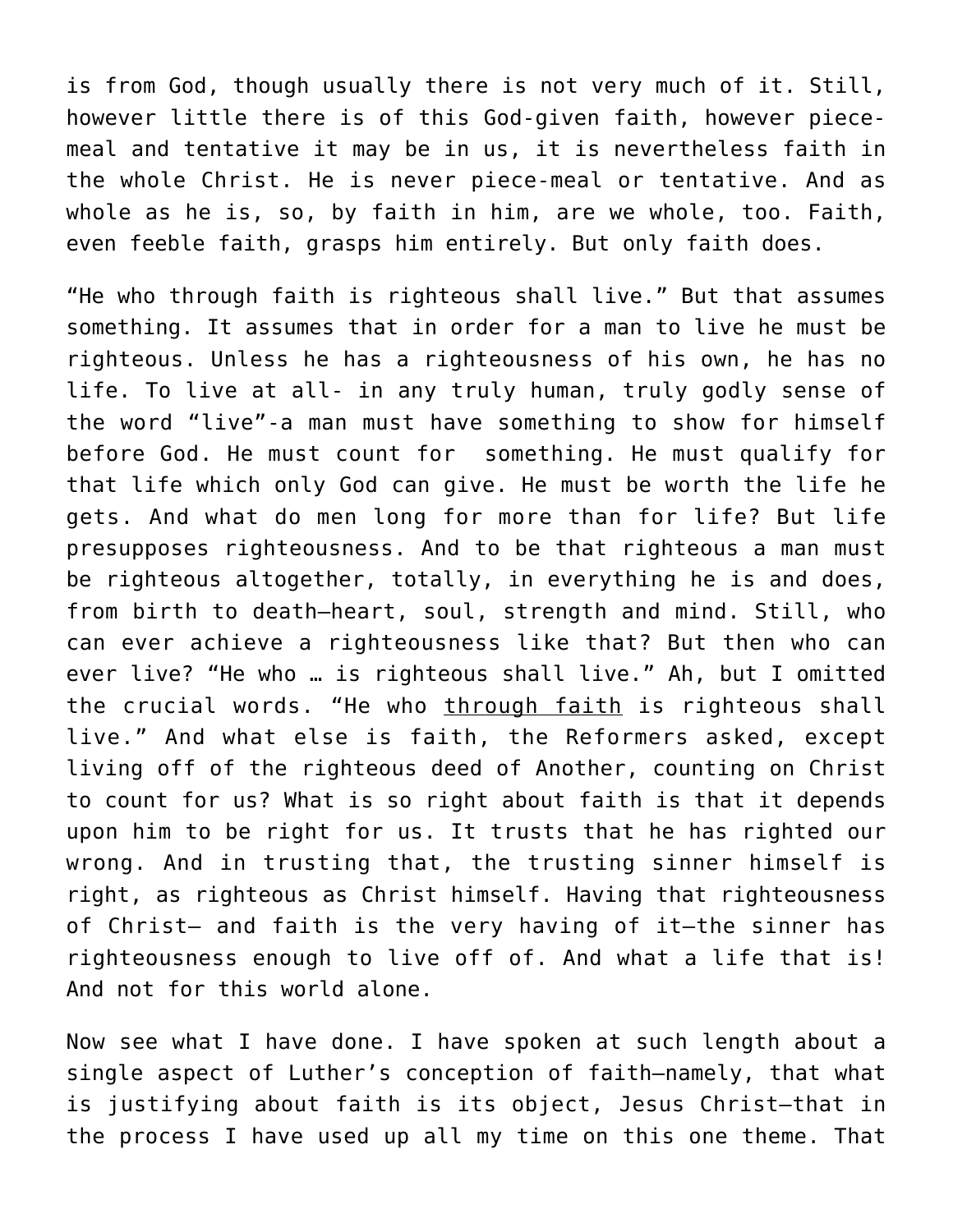is from God, though usually there is not very much of it. Still, however little there is of this God-given faith, however piecemeal and tentative it may be in us, it is nevertheless faith in the whole Christ. He is never piece-meal or tentative. And as whole as he is, so, by faith in him, are we whole, too. Faith, even feeble faith, grasps him entirely. But only faith does.

"He who through faith is righteous shall live." But that assumes something. It assumes that in order for a man to live he must be righteous. Unless he has a righteousness of his own, he has no life. To live at all- in any truly human, truly godly sense of the word "live"-a man must have something to show for himself before God. He must count for something. He must qualify for that life which only God can give. He must be worth the life he gets. And what do men long for more than for life? But life presupposes righteousness. And to be that righteous a man must be righteous altogether, totally, in everything he is and does, from birth to death–heart, soul, strength and mind. Still, who can ever achieve a righteousness like that? But then who can ever live? "He who … is righteous shall live." Ah, but I omitted the crucial words. "He who through faith is righteous shall live." And what else is faith, the Reformers asked, except living off of the righteous deed of Another, counting on Christ to count for us? What is so right about faith is that it depends upon him to be right for us. It trusts that he has righted our wrong. And in trusting that, the trusting sinner himself is right, as righteous as Christ himself. Having that righteousness of Christ– and faith is the very having of it–the sinner has righteousness enough to live off of. And what a life that is! And not for this world alone.

Now see what I have done. I have spoken at such length about a single aspect of Luther's conception of faith–namely, that what is justifying about faith is its object, Jesus Christ–that in the process I have used up all my time on this one theme. That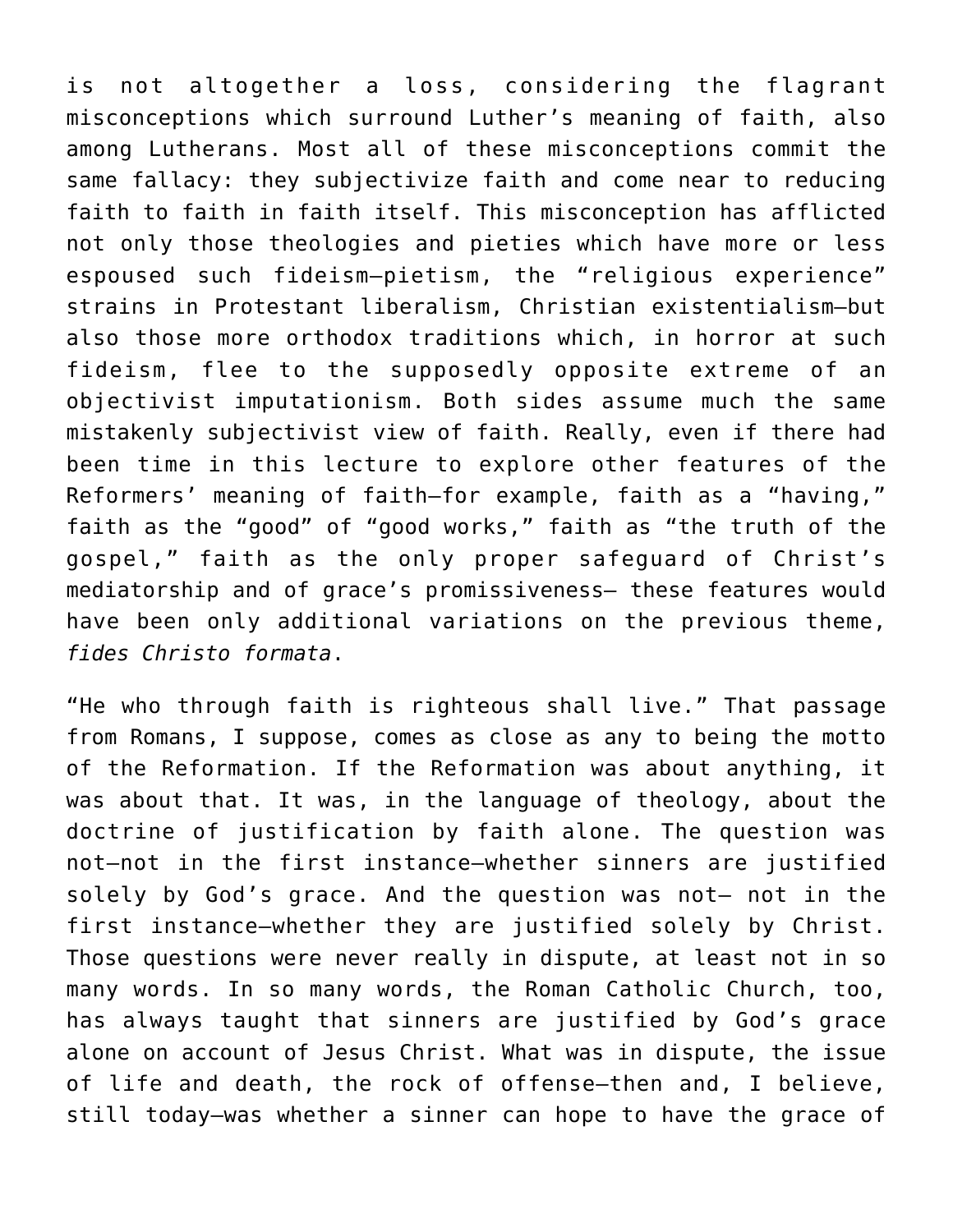is not altogether a loss, considering the flagrant misconceptions which surround Luther's meaning of faith, also among Lutherans. Most all of these misconceptions commit the same fallacy: they subjectivize faith and come near to reducing faith to faith in faith itself. This misconception has afflicted not only those theologies and pieties which have more or less espoused such fideism–pietism, the "religious experience" strains in Protestant liberalism, Christian existentialism–but also those more orthodox traditions which, in horror at such fideism, flee to the supposedly opposite extreme of an objectivist imputationism. Both sides assume much the same mistakenly subjectivist view of faith. Really, even if there had been time in this lecture to explore other features of the Reformers' meaning of faith—for example, faith as a "having," faith as the "good" of "good works," faith as "the truth of the gospel," faith as the only proper safeguard of Christ's mediatorship and of grace's promissiveness— these features would have been only additional variations on the previous theme, *fides Christo formata*.

"He who through faith is righteous shall live." That passage from Romans, I suppose, comes as close as any to being the motto of the Reformation. If the Reformation was about anything, it was about that. It was, in the language of theology, about the doctrine of justification by faith alone. The question was not—not in the first instance—whether sinners are justified solely by God's grace. And the question was not— not in the first instance—whether they are justified solely by Christ. Those questions were never really in dispute, at least not in so many words. In so many words, the Roman Catholic Church, too, has always taught that sinners are justified by God's grace alone on account of Jesus Christ. What was in dispute, the issue of life and death, the rock of offense—then and, I believe, still today—was whether a sinner can hope to have the grace of